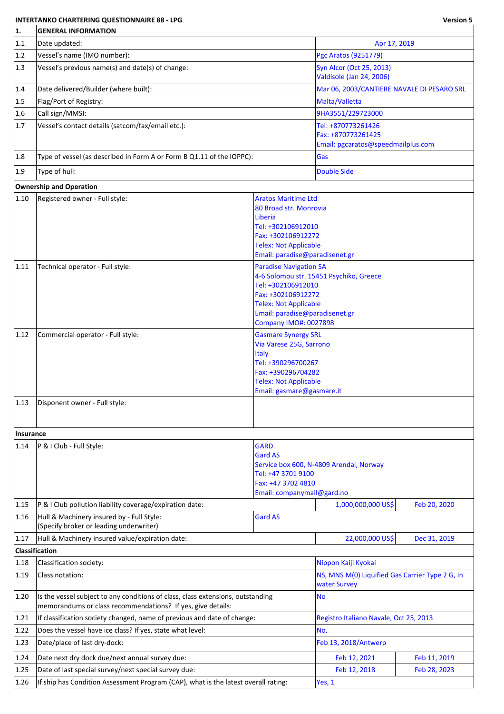## **INTERTANKO CHARTERING QUESTIONNAIRE 88 - LPG Version 5**

| 1.             | <b>GENERAL INFORMATION</b>                                                                                                                     |                                                                |                                                                 |              |  |  |
|----------------|------------------------------------------------------------------------------------------------------------------------------------------------|----------------------------------------------------------------|-----------------------------------------------------------------|--------------|--|--|
| 1.1            | Date updated:                                                                                                                                  |                                                                | Apr 17, 2019                                                    |              |  |  |
| 1.2            | Vessel's name (IMO number):                                                                                                                    |                                                                | Pgc Aratos (9251779)                                            |              |  |  |
| 1.3            | Vessel's previous name(s) and date(s) of change:                                                                                               |                                                                | Syn Alcor (Oct 25, 2013)                                        |              |  |  |
|                |                                                                                                                                                |                                                                | Valdisole (Jan 24, 2006)                                        |              |  |  |
| 1.4            | Date delivered/Builder (where built):                                                                                                          |                                                                | Mar 06, 2003/CANTIERE NAVALE DI PESARO SRL                      |              |  |  |
| 1.5            | Flag/Port of Registry:                                                                                                                         |                                                                | Malta/Valletta                                                  |              |  |  |
| 1.6            | Call sign/MMSI:                                                                                                                                |                                                                | 9HA3551/229723000                                               |              |  |  |
| 1.7            | Vessel's contact details (satcom/fax/email etc.):                                                                                              |                                                                | Tel: +870773261426                                              |              |  |  |
|                |                                                                                                                                                |                                                                | Fax: +870773261425<br>Email: pgcaratos@speedmailplus.com        |              |  |  |
| 1.8            | Type of vessel (as described in Form A or Form B Q1.11 of the IOPPC):                                                                          |                                                                | Gas                                                             |              |  |  |
|                |                                                                                                                                                |                                                                |                                                                 |              |  |  |
| 1.9            | Type of hull:                                                                                                                                  |                                                                | <b>Double Side</b>                                              |              |  |  |
|                | <b>Ownership and Operation</b>                                                                                                                 |                                                                |                                                                 |              |  |  |
| $ 1.10\rangle$ | Registered owner - Full style:                                                                                                                 | <b>Aratos Maritime Ltd</b>                                     |                                                                 |              |  |  |
|                |                                                                                                                                                | 80 Broad str. Monrovia<br>Liberia                              |                                                                 |              |  |  |
|                |                                                                                                                                                | Tel: +302106912010                                             |                                                                 |              |  |  |
|                |                                                                                                                                                | Fax: +302106912272                                             |                                                                 |              |  |  |
|                |                                                                                                                                                | <b>Telex: Not Applicable</b>                                   |                                                                 |              |  |  |
|                |                                                                                                                                                | Email: paradise@paradisenet.gr                                 |                                                                 |              |  |  |
| 1.11           | Technical operator - Full style:                                                                                                               | <b>Paradise Navigation SA</b>                                  | 4-6 Solomou str. 15451 Psychiko, Greece                         |              |  |  |
|                |                                                                                                                                                | Tel: +302106912010                                             |                                                                 |              |  |  |
|                |                                                                                                                                                | Fax: +302106912272                                             |                                                                 |              |  |  |
|                |                                                                                                                                                | <b>Telex: Not Applicable</b>                                   |                                                                 |              |  |  |
|                |                                                                                                                                                | Email: paradise@paradisenet.gr<br><b>Company IMO#: 0027898</b> |                                                                 |              |  |  |
| 1.12           | Commercial operator - Full style:                                                                                                              | <b>Gasmare Synergy SRL</b>                                     |                                                                 |              |  |  |
|                |                                                                                                                                                | Via Varese 25G, Sarrono                                        |                                                                 |              |  |  |
|                |                                                                                                                                                | <b>Italy</b>                                                   |                                                                 |              |  |  |
|                |                                                                                                                                                | Tel: +390296700267<br>Fax: +390296704282                       |                                                                 |              |  |  |
|                |                                                                                                                                                | <b>Telex: Not Applicable</b>                                   |                                                                 |              |  |  |
|                |                                                                                                                                                | Email: gasmare@gasmare.it                                      |                                                                 |              |  |  |
| $ 1.13\rangle$ | Disponent owner - Full style:                                                                                                                  |                                                                |                                                                 |              |  |  |
|                |                                                                                                                                                |                                                                |                                                                 |              |  |  |
| Insurance      |                                                                                                                                                |                                                                |                                                                 |              |  |  |
| 1.14           | P & I Club - Full Style:                                                                                                                       | <b>GARD</b>                                                    |                                                                 |              |  |  |
|                |                                                                                                                                                | <b>Gard AS</b>                                                 |                                                                 |              |  |  |
|                |                                                                                                                                                |                                                                | Service box 600, N-4809 Arendal, Norway                         |              |  |  |
|                |                                                                                                                                                | Tel: +47 3701 9100<br>Fax: +47 3702 4810                       |                                                                 |              |  |  |
|                |                                                                                                                                                | Email: companymail@gard.no                                     |                                                                 |              |  |  |
| 1.15           | P & I Club pollution liability coverage/expiration date:                                                                                       |                                                                | 1,000,000,000 US\$                                              | Feb 20, 2020 |  |  |
| 1.16           | Hull & Machinery insured by - Full Style:                                                                                                      | <b>Gard AS</b>                                                 |                                                                 |              |  |  |
|                | (Specify broker or leading underwriter)                                                                                                        |                                                                |                                                                 |              |  |  |
| 1.17           | Hull & Machinery insured value/expiration date:                                                                                                |                                                                | 22,000,000 US\$                                                 | Dec 31, 2019 |  |  |
|                | Classification                                                                                                                                 |                                                                |                                                                 |              |  |  |
| 1.18           | Classification society:                                                                                                                        |                                                                | Nippon Kaiji Kyokai                                             |              |  |  |
| 1.19           | Class notation:                                                                                                                                |                                                                | NS, MNS M(0) Liquified Gas Carrier Type 2 G, In<br>water Survey |              |  |  |
| 1.20           | Is the vessel subject to any conditions of class, class extensions, outstanding<br>memorandums or class recommendations? If yes, give details: |                                                                | <b>No</b>                                                       |              |  |  |
| 1.21           | If classification society changed, name of previous and date of change:                                                                        |                                                                | Registro Italiano Navale, Oct 25, 2013                          |              |  |  |
| 1.22           | Does the vessel have ice class? If yes, state what level:                                                                                      |                                                                | No,                                                             |              |  |  |
| 1.23           | Date/place of last dry-dock:                                                                                                                   |                                                                | Feb 13, 2018/Antwerp                                            |              |  |  |
| 1.24           | Date next dry dock due/next annual survey due:                                                                                                 |                                                                | Feb 12, 2021                                                    | Feb 11, 2019 |  |  |
| 1.25           | Date of last special survey/next special survey due:                                                                                           |                                                                | Feb 12, 2018                                                    | Feb 28, 2023 |  |  |
| 1.26           | If ship has Condition Assessment Program (CAP), what is the latest overall rating:                                                             |                                                                | Yes, 1                                                          |              |  |  |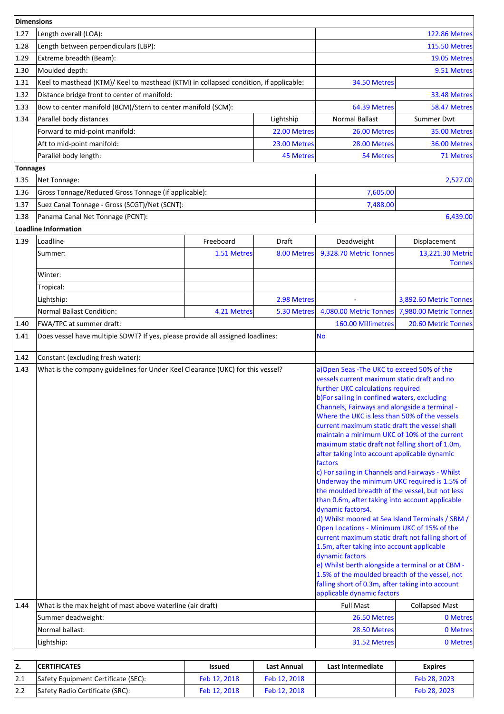| Dimensions      |                                                                                                                                                                                                                                                                                                                                                                                                                                                                                                                                                                                                                                                                                                                                                                                                                                                                                                                                                                                                                                                                                                                                                                                                    |              |                  |                        |                            |  |
|-----------------|----------------------------------------------------------------------------------------------------------------------------------------------------------------------------------------------------------------------------------------------------------------------------------------------------------------------------------------------------------------------------------------------------------------------------------------------------------------------------------------------------------------------------------------------------------------------------------------------------------------------------------------------------------------------------------------------------------------------------------------------------------------------------------------------------------------------------------------------------------------------------------------------------------------------------------------------------------------------------------------------------------------------------------------------------------------------------------------------------------------------------------------------------------------------------------------------------|--------------|------------------|------------------------|----------------------------|--|
| 1.27            | Length overall (LOA):                                                                                                                                                                                                                                                                                                                                                                                                                                                                                                                                                                                                                                                                                                                                                                                                                                                                                                                                                                                                                                                                                                                                                                              |              |                  | <b>122.86 Metres</b>   |                            |  |
| 1.28            | Length between perpendiculars (LBP):                                                                                                                                                                                                                                                                                                                                                                                                                                                                                                                                                                                                                                                                                                                                                                                                                                                                                                                                                                                                                                                                                                                                                               |              |                  | <b>115.50 Metres</b>   |                            |  |
| 1.29            | Extreme breadth (Beam):                                                                                                                                                                                                                                                                                                                                                                                                                                                                                                                                                                                                                                                                                                                                                                                                                                                                                                                                                                                                                                                                                                                                                                            |              |                  | 19.05 Metres           |                            |  |
| 1.30            | Moulded depth:                                                                                                                                                                                                                                                                                                                                                                                                                                                                                                                                                                                                                                                                                                                                                                                                                                                                                                                                                                                                                                                                                                                                                                                     |              |                  |                        | 9.51 Metres                |  |
| 1.31            | Keel to masthead (KTM)/ Keel to masthead (KTM) in collapsed condition, if applicable:                                                                                                                                                                                                                                                                                                                                                                                                                                                                                                                                                                                                                                                                                                                                                                                                                                                                                                                                                                                                                                                                                                              |              |                  | 34.50 Metres           |                            |  |
| 1.32            | Distance bridge front to center of manifold:                                                                                                                                                                                                                                                                                                                                                                                                                                                                                                                                                                                                                                                                                                                                                                                                                                                                                                                                                                                                                                                                                                                                                       |              |                  |                        | 33.48 Metres               |  |
| 1.33            | Bow to center manifold (BCM)/Stern to center manifold (SCM):                                                                                                                                                                                                                                                                                                                                                                                                                                                                                                                                                                                                                                                                                                                                                                                                                                                                                                                                                                                                                                                                                                                                       |              |                  | 64.39 Metres           | 58.47 Metres               |  |
| 1.34            | Parallel body distances                                                                                                                                                                                                                                                                                                                                                                                                                                                                                                                                                                                                                                                                                                                                                                                                                                                                                                                                                                                                                                                                                                                                                                            |              | Lightship        | <b>Normal Ballast</b>  | Summer Dwt                 |  |
|                 | Forward to mid-point manifold:                                                                                                                                                                                                                                                                                                                                                                                                                                                                                                                                                                                                                                                                                                                                                                                                                                                                                                                                                                                                                                                                                                                                                                     |              | 22.00 Metres     | 26.00 Metres           | 35.00 Metres               |  |
|                 | Aft to mid-point manifold:                                                                                                                                                                                                                                                                                                                                                                                                                                                                                                                                                                                                                                                                                                                                                                                                                                                                                                                                                                                                                                                                                                                                                                         |              | 23.00 Metres     | 28.00 Metres           | 36.00 Metres               |  |
|                 | Parallel body length:                                                                                                                                                                                                                                                                                                                                                                                                                                                                                                                                                                                                                                                                                                                                                                                                                                                                                                                                                                                                                                                                                                                                                                              |              | <b>45 Metres</b> | 54 Metres              | 71 Metres                  |  |
| <b>Tonnages</b> |                                                                                                                                                                                                                                                                                                                                                                                                                                                                                                                                                                                                                                                                                                                                                                                                                                                                                                                                                                                                                                                                                                                                                                                                    |              |                  |                        |                            |  |
| 1.35            | Net Tonnage:                                                                                                                                                                                                                                                                                                                                                                                                                                                                                                                                                                                                                                                                                                                                                                                                                                                                                                                                                                                                                                                                                                                                                                                       |              |                  |                        | 2,527.00                   |  |
| 1.36            | Gross Tonnage/Reduced Gross Tonnage (if applicable):                                                                                                                                                                                                                                                                                                                                                                                                                                                                                                                                                                                                                                                                                                                                                                                                                                                                                                                                                                                                                                                                                                                                               |              |                  | 7,605.00               |                            |  |
| 1.37            | Suez Canal Tonnage - Gross (SCGT)/Net (SCNT):                                                                                                                                                                                                                                                                                                                                                                                                                                                                                                                                                                                                                                                                                                                                                                                                                                                                                                                                                                                                                                                                                                                                                      |              |                  | 7,488.00               |                            |  |
| 1.38            | Panama Canal Net Tonnage (PCNT):                                                                                                                                                                                                                                                                                                                                                                                                                                                                                                                                                                                                                                                                                                                                                                                                                                                                                                                                                                                                                                                                                                                                                                   |              |                  |                        | 6,439.00                   |  |
|                 | Loadline Information                                                                                                                                                                                                                                                                                                                                                                                                                                                                                                                                                                                                                                                                                                                                                                                                                                                                                                                                                                                                                                                                                                                                                                               |              |                  |                        |                            |  |
| 1.39            | Loadline                                                                                                                                                                                                                                                                                                                                                                                                                                                                                                                                                                                                                                                                                                                                                                                                                                                                                                                                                                                                                                                                                                                                                                                           | Freeboard    | Draft            | Deadweight             | Displacement               |  |
|                 | Summer:                                                                                                                                                                                                                                                                                                                                                                                                                                                                                                                                                                                                                                                                                                                                                                                                                                                                                                                                                                                                                                                                                                                                                                                            | 1.51 Metres  | 8.00 Metres      | 9,328.70 Metric Tonnes | 13,221.30 Metric           |  |
|                 |                                                                                                                                                                                                                                                                                                                                                                                                                                                                                                                                                                                                                                                                                                                                                                                                                                                                                                                                                                                                                                                                                                                                                                                                    |              |                  |                        | <b>Tonnes</b>              |  |
|                 | Winter:                                                                                                                                                                                                                                                                                                                                                                                                                                                                                                                                                                                                                                                                                                                                                                                                                                                                                                                                                                                                                                                                                                                                                                                            |              |                  |                        |                            |  |
|                 | Tropical:                                                                                                                                                                                                                                                                                                                                                                                                                                                                                                                                                                                                                                                                                                                                                                                                                                                                                                                                                                                                                                                                                                                                                                                          |              |                  |                        |                            |  |
|                 | Lightship:                                                                                                                                                                                                                                                                                                                                                                                                                                                                                                                                                                                                                                                                                                                                                                                                                                                                                                                                                                                                                                                                                                                                                                                         |              | 2.98 Metres      |                        | 3,892.60 Metric Tonnes     |  |
|                 | <b>Normal Ballast Condition:</b>                                                                                                                                                                                                                                                                                                                                                                                                                                                                                                                                                                                                                                                                                                                                                                                                                                                                                                                                                                                                                                                                                                                                                                   | 4.21 Metres  | 5.30 Metres      | 4,080.00 Metric Tonnes | 7,980.00 Metric Tonnes     |  |
| 1.40            | FWA/TPC at summer draft:                                                                                                                                                                                                                                                                                                                                                                                                                                                                                                                                                                                                                                                                                                                                                                                                                                                                                                                                                                                                                                                                                                                                                                           |              |                  | 160.00 Millimetres     | 20.60 Metric Tonnes        |  |
| 1.41            | Does vessel have multiple SDWT? If yes, please provide all assigned loadlines:                                                                                                                                                                                                                                                                                                                                                                                                                                                                                                                                                                                                                                                                                                                                                                                                                                                                                                                                                                                                                                                                                                                     |              |                  | No                     |                            |  |
| 1.42            | Constant (excluding fresh water):                                                                                                                                                                                                                                                                                                                                                                                                                                                                                                                                                                                                                                                                                                                                                                                                                                                                                                                                                                                                                                                                                                                                                                  |              |                  |                        |                            |  |
| 1.43            | What is the company guidelines for Under Keel Clearance (UKC) for this vessel?<br>a) Open Seas - The UKC to exceed 50% of the<br>vessels current maximum static draft and no<br>further UKC calculations required<br>b)For sailing in confined waters, excluding<br>Channels, Fairways and alongside a terminal -<br>Where the UKC is less than 50% of the vessels<br>current maximum static draft the vessel shall<br>maintain a minimum UKC of 10% of the current<br>maximum static draft not falling short of 1.0m,<br>after taking into account applicable dynamic<br>factors<br>c) For sailing in Channels and Fairways - Whilst<br>Underway the minimum UKC required is 1.5% of<br>the moulded breadth of the vessel, but not less<br>than 0.6m, after taking into account applicable<br>dynamic factors4.<br>d) Whilst moored at Sea Island Terminals / SBM /<br>Open Locations - Minimum UKC of 15% of the<br>current maximum static draft not falling short of<br>1.5m, after taking into account applicable<br>dynamic factors<br>e) Whilst berth alongside a terminal or at CBM -<br>1.5% of the moulded breadth of the vessel, not<br>falling short of 0.3m, after taking into account |              |                  |                        | applicable dynamic factors |  |
| 1.44            | What is the max height of mast above waterline (air draft)                                                                                                                                                                                                                                                                                                                                                                                                                                                                                                                                                                                                                                                                                                                                                                                                                                                                                                                                                                                                                                                                                                                                         |              |                  | <b>Full Mast</b>       | <b>Collapsed Mast</b>      |  |
|                 | Summer deadweight:                                                                                                                                                                                                                                                                                                                                                                                                                                                                                                                                                                                                                                                                                                                                                                                                                                                                                                                                                                                                                                                                                                                                                                                 |              |                  | 26.50 Metres           | 0 Metres                   |  |
|                 | Normal ballast:                                                                                                                                                                                                                                                                                                                                                                                                                                                                                                                                                                                                                                                                                                                                                                                                                                                                                                                                                                                                                                                                                                                                                                                    |              |                  | 28.50 Metres           | 0 Metres                   |  |
|                 | Lightship:                                                                                                                                                                                                                                                                                                                                                                                                                                                                                                                                                                                                                                                                                                                                                                                                                                                                                                                                                                                                                                                                                                                                                                                         | 31.52 Metres | 0 Metres         |                        |                            |  |

| 12. | <b>CERTIFICATES</b>                 | Issued       | Last Annual  | Last Intermediate | <b>Expires</b> |
|-----|-------------------------------------|--------------|--------------|-------------------|----------------|
| 2.1 | Safety Equipment Certificate (SEC): | Feb 12, 2018 | Feb 12, 2018 |                   | Feb 28, 2023   |
|     | Safety Radio Certificate (SRC):     | Feb 12, 2018 | Feb 12, 2018 |                   | Feb 28, 2023   |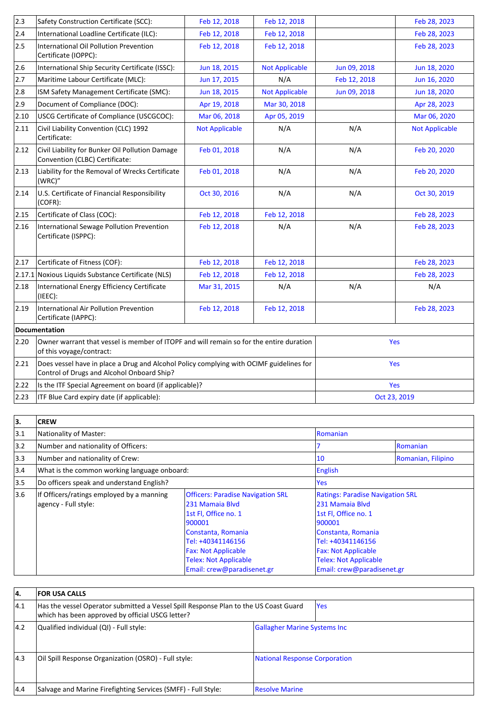| $ 2.3\rangle$  | Safety Construction Certificate (SCC):                                                                                                | Feb 12, 2018          | Feb 12, 2018          |              | Feb 28, 2023          |  |
|----------------|---------------------------------------------------------------------------------------------------------------------------------------|-----------------------|-----------------------|--------------|-----------------------|--|
| 2.4            | International Loadline Certificate (ILC):                                                                                             | Feb 12, 2018          | Feb 12, 2018          |              | Feb 28, 2023          |  |
| 2.5            | International Oil Pollution Prevention<br>Certificate (IOPPC):                                                                        | Feb 12, 2018          | Feb 12, 2018          |              | Feb 28, 2023          |  |
| 2.6            | International Ship Security Certificate (ISSC):                                                                                       | Jun 18, 2015          | <b>Not Applicable</b> | Jun 09, 2018 | Jun 18, 2020          |  |
| 2.7            | Maritime Labour Certificate (MLC):                                                                                                    | Jun 17, 2015          | N/A                   | Feb 12, 2018 | Jun 16, 2020          |  |
| 2.8            | ISM Safety Management Certificate (SMC):                                                                                              | Jun 18, 2015          | <b>Not Applicable</b> | Jun 09, 2018 | Jun 18, 2020          |  |
| 2.9            | Document of Compliance (DOC):                                                                                                         | Apr 19, 2018          | Mar 30, 2018          |              | Apr 28, 2023          |  |
| 2.10           | USCG Certificate of Compliance (USCGCOC):                                                                                             | Mar 06, 2018          | Apr 05, 2019          |              | Mar 06, 2020          |  |
| 2.11           | Civil Liability Convention (CLC) 1992<br>Certificate:                                                                                 | <b>Not Applicable</b> | N/A                   | N/A          | <b>Not Applicable</b> |  |
| 2.12           | Civil Liability for Bunker Oil Pollution Damage<br>Convention (CLBC) Certificate:                                                     | Feb 01, 2018          | N/A                   | N/A          | Feb 20, 2020          |  |
| 2.13           | Liability for the Removal of Wrecks Certificate<br>(WRC)"                                                                             | Feb 01, 2018          | N/A                   | N/A          | Feb 20, 2020          |  |
| 2.14           | U.S. Certificate of Financial Responsibility<br>(COFR):                                                                               | Oct 30, 2016          | N/A                   | N/A          | Oct 30, 2019          |  |
| 2.15           | Certificate of Class (COC):                                                                                                           | Feb 12, 2018          | Feb 12, 2018          |              | Feb 28, 2023          |  |
| 2.16           | <b>International Sewage Pollution Prevention</b><br>Certificate (ISPPC):                                                              | Feb 12, 2018          | N/A                   | N/A          | Feb 28, 2023          |  |
| 2.17           | Certificate of Fitness (COF):                                                                                                         | Feb 12, 2018          | Feb 12, 2018          |              | Feb 28, 2023          |  |
| 2.17.1         | Noxious Liquids Substance Certificate (NLS)                                                                                           | Feb 12, 2018          | Feb 12, 2018          |              | Feb 28, 2023          |  |
| 2.18           | International Energy Efficiency Certificate<br>(IEEE):                                                                                | Mar 31, 2015          | N/A                   | N/A          | N/A                   |  |
| $ 2.19\rangle$ | International Air Pollution Prevention<br>Certificate (IAPPC):                                                                        | Feb 12, 2018          | Feb 12, 2018          |              | Feb 28, 2023          |  |
|                | <b>Documentation</b>                                                                                                                  |                       |                       |              |                       |  |
| 2.20           | Owner warrant that vessel is member of ITOPF and will remain so for the entire duration<br>Yes<br>of this voyage/contract:            |                       |                       |              |                       |  |
| 2.21           | Does vessel have in place a Drug and Alcohol Policy complying with OCIMF guidelines for<br>Control of Drugs and Alcohol Onboard Ship? |                       |                       | Yes          |                       |  |
| 2.22           | Is the ITF Special Agreement on board (if applicable)?                                                                                |                       |                       | Yes          |                       |  |
| 2.23           | ITF Blue Card expiry date (if applicable):<br>Oct 23, 2019                                                                            |                       |                       |              |                       |  |

| 3.            | <b>CREW</b>                                                       |                                                                                                                                                                                                                                      |                                                                                                                                                                                                                                     |                    |  |
|---------------|-------------------------------------------------------------------|--------------------------------------------------------------------------------------------------------------------------------------------------------------------------------------------------------------------------------------|-------------------------------------------------------------------------------------------------------------------------------------------------------------------------------------------------------------------------------------|--------------------|--|
| 3.1           | Nationality of Master:                                            |                                                                                                                                                                                                                                      | <b>Romanian</b>                                                                                                                                                                                                                     |                    |  |
| 3.2           | Number and nationality of Officers:                               |                                                                                                                                                                                                                                      |                                                                                                                                                                                                                                     | <b>Romanian</b>    |  |
| $ 3.3\rangle$ | Number and nationality of Crew:                                   |                                                                                                                                                                                                                                      | 10                                                                                                                                                                                                                                  | Romanian, Filipino |  |
| 3.4           | What is the common working language onboard:                      |                                                                                                                                                                                                                                      | English                                                                                                                                                                                                                             |                    |  |
| 3.5           | Do officers speak and understand English?                         |                                                                                                                                                                                                                                      | Yes                                                                                                                                                                                                                                 |                    |  |
| 3.6           | If Officers/ratings employed by a manning<br>agency - Full style: | <b>Officers: Paradise Navigation SRL</b><br>231 Mamaia Blvd<br>1st Fl, Office no. 1<br>900001<br>Constanta, Romania<br>Tel: +40341146156<br><b>Fax: Not Applicable</b><br><b>Telex: Not Applicable</b><br>Email: crew@paradisenet.gr | <b>Ratings: Paradise Navigation SRL</b><br>231 Mamaia Blvd<br>1st Fl, Office no. 1<br>900001<br>Constanta, Romania<br>Tel: +40341146156<br><b>Fax: Not Applicable</b><br><b>Telex: Not Applicable</b><br>Email: crew@paradisenet.gr |                    |  |

| 14.           | <b>FOR USA CALLS</b>                                                                                                                     |                                      |            |
|---------------|------------------------------------------------------------------------------------------------------------------------------------------|--------------------------------------|------------|
| 4.1           | Has the vessel Operator submitted a Vessel Spill Response Plan to the US Coast Guard<br>which has been approved by official USCG letter? |                                      | <b>Yes</b> |
| 14.2          | Qualified individual (QI) - Full style:                                                                                                  | <b>Gallagher Marine Systems Inc.</b> |            |
| $ 4.3\rangle$ | Oil Spill Response Organization (OSRO) - Full style:                                                                                     | National Response Corporation        |            |
| 14.4          | Salvage and Marine Firefighting Services (SMFF) - Full Style:                                                                            | <b>Resolve Marine</b>                |            |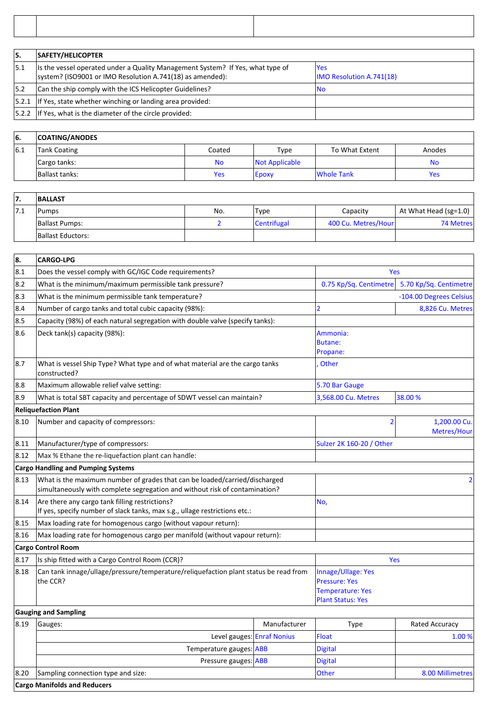|      | <b>SAFETY/HELICOPTER</b>                                                                                                                     |                                               |  |
|------|----------------------------------------------------------------------------------------------------------------------------------------------|-----------------------------------------------|--|
| 15.1 | Its the vessel operated under a Quality Management System? If Yes, what type of<br>system? (ISO9001 or IMO Resolution A.741(18) as amended): | <b>Yes</b><br><b>IMO Resolution A.741(18)</b> |  |
| 15.2 | Can the ship comply with the ICS Helicopter Guidelines?                                                                                      | No                                            |  |
|      | $ 5.2.1 $ If Yes, state whether winching or landing area provided:                                                                           |                                               |  |
|      | $ 5.2.2 $ If Yes, what is the diameter of the circle provided:                                                                               |                                               |  |

| 16. | <b>COATING/ANODES</b> |           |                |                   |        |
|-----|-----------------------|-----------|----------------|-------------------|--------|
| 6.1 | Tank Coating          | Coated    | Type           | To What Extent    | Anodes |
|     | Cargo tanks:          | <b>No</b> | Not Applicable |                   | No     |
|     | Ballast tanks:        | Yes       | Epoxy          | <b>Whole Tank</b> | Yes    |

| 17. | <b>BALLAST</b>        |     |             |                     |                               |
|-----|-----------------------|-----|-------------|---------------------|-------------------------------|
| 7.1 | Pumps                 | No. | 'Type       | Capacity            | At What Head (sg=1.0) $\vert$ |
|     | <b>Ballast Pumps:</b> |     | Centrifugal | 400 Cu. Metres/Hour | 74 Metres                     |
|     | Ballast Eductors:     |     |             |                     |                               |

| 8.   | <b>CARGO-LPG</b>                                                                                                                                          |              |                                                                                                   |                             |  |
|------|-----------------------------------------------------------------------------------------------------------------------------------------------------------|--------------|---------------------------------------------------------------------------------------------------|-----------------------------|--|
| 8.1  | Does the vessel comply with GC/IGC Code requirements?                                                                                                     | Yes          |                                                                                                   |                             |  |
| 8.2  | What is the minimum/maximum permissible tank pressure?                                                                                                    |              | 0.75 Kp/Sq. Centimetre                                                                            | 5.70 Kp/Sq. Centimetre      |  |
| 8.3  | What is the minimum permissible tank temperature?                                                                                                         |              |                                                                                                   | -104.00 Degrees Celsius     |  |
| 8.4  | Number of cargo tanks and total cubic capacity (98%):                                                                                                     |              | $\overline{2}$                                                                                    | 8,826 Cu. Metres            |  |
| 8.5  | Capacity (98%) of each natural segregation with double valve (specify tanks):                                                                             |              |                                                                                                   |                             |  |
| 8.6  | Deck tank(s) capacity (98%):                                                                                                                              |              | Ammonia:<br><b>Butane:</b><br>Propane:                                                            |                             |  |
| 8.7  | What is vessel Ship Type? What type and of what material are the cargo tanks<br>constructed?                                                              |              | Other                                                                                             |                             |  |
| 8.8  | Maximum allowable relief valve setting:                                                                                                                   |              | 5.70 Bar Gauge                                                                                    |                             |  |
| 8.9  | What is total SBT capacity and percentage of SDWT vessel can maintain?                                                                                    |              | 3,568.00 Cu. Metres                                                                               | 38.00 %                     |  |
|      | <b>Reliquefaction Plant</b>                                                                                                                               |              |                                                                                                   |                             |  |
| 8.10 | Number and capacity of compressors:                                                                                                                       |              | $\overline{2}$                                                                                    | 1,200.00 Cu.<br>Metres/Hour |  |
| 8.11 | Manufacturer/type of compressors:                                                                                                                         |              | Sulzer 2K 160-20 / Other                                                                          |                             |  |
| 8.12 | Max % Ethane the re-liquefaction plant can handle:                                                                                                        |              |                                                                                                   |                             |  |
|      | <b>Cargo Handling and Pumping Systems</b>                                                                                                                 |              |                                                                                                   |                             |  |
| 8.13 | What is the maximum number of grades that can be loaded/carried/discharged<br>simultaneously with complete segregation and without risk of contamination? |              |                                                                                                   | $\overline{2}$              |  |
| 8.14 | Are there any cargo tank filling restrictions?<br>If yes, specify number of slack tanks, max s.g., ullage restrictions etc.:                              |              | No,                                                                                               |                             |  |
| 8.15 | Max loading rate for homogenous cargo (without vapour return):                                                                                            |              |                                                                                                   |                             |  |
| 8.16 | Max loading rate for homogenous cargo per manifold (without vapour return):                                                                               |              |                                                                                                   |                             |  |
|      | <b>Cargo Control Room</b>                                                                                                                                 |              |                                                                                                   |                             |  |
| 8.17 | Is ship fitted with a Cargo Control Room (CCR)?                                                                                                           |              | Yes                                                                                               |                             |  |
| 8.18 | Can tank innage/ullage/pressure/temperature/reliquefaction plant status be read from<br>the CCR?                                                          |              | Innage/Ullage: Yes<br><b>Pressure: Yes</b><br><b>Temperature: Yes</b><br><b>Plant Status: Yes</b> |                             |  |
|      | <b>Gauging and Sampling</b>                                                                                                                               |              |                                                                                                   |                             |  |
| 8.19 | Gauges:                                                                                                                                                   | Manufacturer | <b>Type</b>                                                                                       | Rated Accuracy              |  |
|      | Level gauges: Enraf Nonius                                                                                                                                |              | <b>Float</b>                                                                                      | 1.00 %                      |  |
|      | Temperature gauges: ABB                                                                                                                                   |              | <b>Digital</b>                                                                                    |                             |  |
|      | Pressure gauges: ABB                                                                                                                                      |              | <b>Digital</b>                                                                                    |                             |  |
| 8.20 | Sampling connection type and size:                                                                                                                        |              | <b>Other</b>                                                                                      | 8.00 Millimetres            |  |

**Cargo Manifolds and Reducers**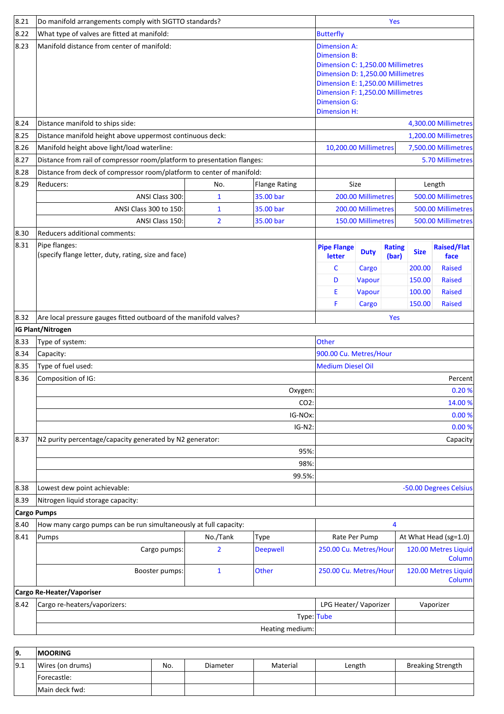| 8.21               | Do manifold arrangements comply with SIGTTO standards?                  |                |                   | Yes                          |                                                                                                                                                                                                                                              |                        |             |                                       |  |
|--------------------|-------------------------------------------------------------------------|----------------|-------------------|------------------------------|----------------------------------------------------------------------------------------------------------------------------------------------------------------------------------------------------------------------------------------------|------------------------|-------------|---------------------------------------|--|
| 8.22               | What type of valves are fitted at manifold:                             |                |                   |                              | <b>Butterfly</b>                                                                                                                                                                                                                             |                        |             |                                       |  |
| 8.23               | Manifold distance from center of manifold:                              |                |                   |                              | <b>Dimension A:</b><br><b>Dimension B:</b><br>Dimension C: 1,250.00 Millimetres<br>Dimension D: 1,250.00 Millimetres<br>Dimension E: 1,250.00 Millimetres<br>Dimension F: 1,250.00 Millimetres<br><b>Dimension G:</b><br><b>Dimension H:</b> |                        |             |                                       |  |
| 8.24               | Distance manifold to ships side:                                        |                |                   |                              |                                                                                                                                                                                                                                              |                        |             | 4,300.00 Millimetres                  |  |
| 8.25               | Distance manifold height above uppermost continuous deck:               |                |                   |                              |                                                                                                                                                                                                                                              |                        |             | 1,200.00 Millimetres                  |  |
| 8.26               | Manifold height above light/load waterline:                             |                |                   | 10,200.00 Millimetres        |                                                                                                                                                                                                                                              |                        |             | 7,500.00 Millimetres                  |  |
| 8.27               | Distance from rail of compressor room/platform to presentation flanges: |                |                   |                              |                                                                                                                                                                                                                                              |                        |             | 5.70 Millimetres                      |  |
| 8.28               | Distance from deck of compressor room/platform to center of manifold:   |                |                   |                              |                                                                                                                                                                                                                                              |                        |             |                                       |  |
| 8.29               | Reducers:                                                               | No.            | Flange Rating     | Size                         |                                                                                                                                                                                                                                              |                        |             | Length                                |  |
|                    | ANSI Class 300:<br>35.00 bar<br>$\mathbf{1}$                            |                |                   |                              | 200.00 Millimetres                                                                                                                                                                                                                           |                        |             | 500.00 Millimetres                    |  |
|                    | ANSI Class 300 to 150:                                                  | $\mathbf{1}$   | 35.00 bar         |                              | 200.00 Millimetres                                                                                                                                                                                                                           |                        |             | 500.00 Millimetres                    |  |
|                    | ANSI Class 150:                                                         | $\overline{2}$ | 35.00 bar         |                              | 150.00 Millimetres                                                                                                                                                                                                                           |                        |             | 500.00 Millimetres                    |  |
| 8.30               | Reducers additional comments:                                           |                |                   |                              |                                                                                                                                                                                                                                              |                        |             |                                       |  |
| 8.31               | Pipe flanges:<br>(specify flange letter, duty, rating, size and face)   |                |                   | <b>Pipe Flange</b><br>letter | <b>Duty</b>                                                                                                                                                                                                                                  | <b>Rating</b><br>(bar) | <b>Size</b> | <b>Raised/Flat</b><br>face            |  |
|                    |                                                                         |                |                   | C                            | Cargo                                                                                                                                                                                                                                        |                        | 200.00      | <b>Raised</b>                         |  |
|                    |                                                                         |                |                   | D                            | Vapour                                                                                                                                                                                                                                       |                        | 150.00      | <b>Raised</b>                         |  |
|                    |                                                                         |                |                   | Ε                            | Vapour                                                                                                                                                                                                                                       |                        | 100.00      | <b>Raised</b>                         |  |
|                    |                                                                         |                |                   | F                            | Cargo                                                                                                                                                                                                                                        |                        | 150.00      | <b>Raised</b>                         |  |
| 8.32               | Are local pressure gauges fitted outboard of the manifold valves?       |                |                   |                              |                                                                                                                                                                                                                                              | Yes                    |             |                                       |  |
|                    | IG Plant/Nitrogen                                                       |                |                   |                              |                                                                                                                                                                                                                                              |                        |             |                                       |  |
| $ 8.33\rangle$     | Type of system:                                                         |                |                   | Other                        |                                                                                                                                                                                                                                              |                        |             |                                       |  |
| 8.34               | Capacity:                                                               |                |                   | 900.00 Cu. Metres/Hour       |                                                                                                                                                                                                                                              |                        |             |                                       |  |
| 8.35               | Type of fuel used:                                                      |                |                   | <b>Medium Diesel Oil</b>     |                                                                                                                                                                                                                                              |                        |             |                                       |  |
| 8.36               | Composition of IG:                                                      |                |                   | Percent                      |                                                                                                                                                                                                                                              |                        |             |                                       |  |
|                    |                                                                         |                | Oxygen:           | 0.20%                        |                                                                                                                                                                                                                                              |                        |             |                                       |  |
|                    |                                                                         |                | CO2:              | 14.00 %<br>0.00%             |                                                                                                                                                                                                                                              |                        |             |                                       |  |
|                    |                                                                         |                | IG-NOx:<br>IG-N2: | 0.00%                        |                                                                                                                                                                                                                                              |                        |             |                                       |  |
| 8.37               | N2 purity percentage/capacity generated by N2 generator:                |                |                   |                              |                                                                                                                                                                                                                                              |                        |             | Capacity                              |  |
|                    |                                                                         |                | 95%:              |                              |                                                                                                                                                                                                                                              |                        |             |                                       |  |
|                    |                                                                         |                | 98%:              |                              |                                                                                                                                                                                                                                              |                        |             |                                       |  |
|                    |                                                                         |                | 99.5%:            |                              |                                                                                                                                                                                                                                              |                        |             |                                       |  |
| 8.38               | Lowest dew point achievable:                                            |                |                   |                              |                                                                                                                                                                                                                                              |                        |             | -50.00 Degrees Celsius                |  |
| 8.39               | Nitrogen liquid storage capacity:                                       |                |                   |                              |                                                                                                                                                                                                                                              |                        |             |                                       |  |
| <b>Cargo Pumps</b> |                                                                         |                |                   |                              |                                                                                                                                                                                                                                              |                        |             |                                       |  |
| 8.40               | How many cargo pumps can be run simultaneously at full capacity:        |                |                   |                              |                                                                                                                                                                                                                                              | 4                      |             |                                       |  |
| 8.41               | Pumps                                                                   | No./Tank       | <b>Type</b>       | Rate Per Pump                |                                                                                                                                                                                                                                              |                        |             | At What Head (sg=1.0)                 |  |
|                    | Cargo pumps:                                                            | $\overline{2}$ | <b>Deepwell</b>   | 250.00 Cu. Metres/Hour       |                                                                                                                                                                                                                                              |                        |             | 120.00 Metres Liquid<br><b>Column</b> |  |
|                    | Booster pumps:                                                          | $\mathbf{1}$   | Other             | 250.00 Cu. Metres/Hour       |                                                                                                                                                                                                                                              |                        |             | 120.00 Metres Liquid<br>Column        |  |
|                    | Cargo Re-Heater/Vaporiser                                               |                |                   |                              |                                                                                                                                                                                                                                              |                        |             |                                       |  |
| 8.42               | Cargo re-heaters/vaporizers:                                            |                |                   | LPG Heater/ Vaporizer        |                                                                                                                                                                                                                                              |                        |             | Vaporizer                             |  |
|                    |                                                                         |                | Type: Tube        |                              |                                                                                                                                                                                                                                              |                        |             |                                       |  |
|                    |                                                                         |                | Heating medium:   |                              |                                                                                                                                                                                                                                              |                        |             |                                       |  |
|                    |                                                                         |                |                   |                              |                                                                                                                                                                                                                                              |                        |             |                                       |  |

| 19. | <b>MOORING</b>   |     |          |          |        |                          |
|-----|------------------|-----|----------|----------|--------|--------------------------|
| 9.1 | Wires (on drums) | No. | Diameter | Material | Length | <b>Breaking Strength</b> |
|     | Forecastle:      |     |          |          |        |                          |
|     | Main deck fwd:   |     |          |          |        |                          |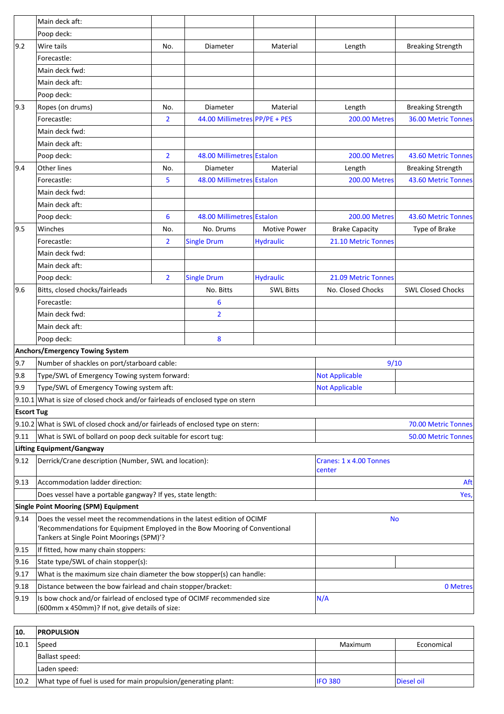|                   | Main deck aft:                                                                                                                                        |                |                               |                       |                                   |                            |
|-------------------|-------------------------------------------------------------------------------------------------------------------------------------------------------|----------------|-------------------------------|-----------------------|-----------------------------------|----------------------------|
|                   | Poop deck:                                                                                                                                            |                |                               |                       |                                   |                            |
| $ 9.2\rangle$     | Wire tails                                                                                                                                            | No.            | Diameter                      | Material              | Length                            | <b>Breaking Strength</b>   |
|                   | Forecastle:                                                                                                                                           |                |                               |                       |                                   |                            |
|                   | Main deck fwd:                                                                                                                                        |                |                               |                       |                                   |                            |
|                   | Main deck aft:                                                                                                                                        |                |                               |                       |                                   |                            |
|                   | Poop deck:                                                                                                                                            |                |                               |                       |                                   |                            |
| 9.3               | Ropes (on drums)                                                                                                                                      | No.            | Diameter                      | Material              | Length                            | <b>Breaking Strength</b>   |
|                   | Forecastle:                                                                                                                                           | $\overline{2}$ | 44.00 Millimetres PP/PE + PES |                       | <b>200.00 Metres</b>              | <b>36.00 Metric Tonnes</b> |
|                   | Main deck fwd:                                                                                                                                        |                |                               |                       |                                   |                            |
|                   | Main deck aft:                                                                                                                                        |                |                               |                       |                                   |                            |
|                   | Poop deck:                                                                                                                                            | $\overline{2}$ | 48.00 Millimetres Estalon     |                       | <b>200.00 Metres</b>              | 43.60 Metric Tonnes        |
| 9.4               | <b>Other lines</b>                                                                                                                                    | No.            | Diameter                      | Material              | Length                            | <b>Breaking Strength</b>   |
|                   | Forecastle:                                                                                                                                           | 5              | 48.00 Millimetres Estalon     |                       | <b>200.00 Metres</b>              | 43.60 Metric Tonnes        |
|                   | Main deck fwd:                                                                                                                                        |                |                               |                       |                                   |                            |
|                   | Main deck aft:                                                                                                                                        |                |                               |                       |                                   |                            |
|                   | Poop deck:                                                                                                                                            | 6              | 48.00 Millimetres Estalon     |                       | <b>200.00 Metres</b>              | 43.60 Metric Tonnes        |
| 9.5               | Winches                                                                                                                                               | No.            | No. Drums                     | <b>Motive Power</b>   | <b>Brake Capacity</b>             | Type of Brake              |
|                   | Forecastle:                                                                                                                                           | $\overline{2}$ | <b>Single Drum</b>            | <b>Hydraulic</b>      | 21.10 Metric Tonnes               |                            |
|                   | Main deck fwd:                                                                                                                                        |                |                               |                       |                                   |                            |
|                   | Main deck aft:                                                                                                                                        |                |                               |                       |                                   |                            |
|                   | Poop deck:                                                                                                                                            | $\overline{2}$ | <b>Single Drum</b>            | <b>Hydraulic</b>      | 21.09 Metric Tonnes               |                            |
| 9.6               | Bitts, closed chocks/fairleads                                                                                                                        |                | No. Bitts                     | <b>SWL Bitts</b>      | No. Closed Chocks                 | <b>SWL Closed Chocks</b>   |
|                   | Forecastle:                                                                                                                                           |                | 6                             |                       |                                   |                            |
|                   | Main deck fwd:                                                                                                                                        |                | $\overline{2}$                |                       |                                   |                            |
|                   | Main deck aft:                                                                                                                                        |                |                               |                       |                                   |                            |
|                   | Poop deck:                                                                                                                                            |                | 8                             |                       |                                   |                            |
|                   | Anchors/Emergency Towing System                                                                                                                       |                |                               |                       |                                   |                            |
| 9.7               | Number of shackles on port/starboard cable:                                                                                                           |                |                               |                       | 9/10                              |                            |
| 9.8               | Type/SWL of Emergency Towing system forward:                                                                                                          |                |                               | <b>Not Applicable</b> |                                   |                            |
| 9.9               | Type/SWL of Emergency Towing system aft:                                                                                                              |                |                               | <b>Not Applicable</b> |                                   |                            |
|                   | $9.10.1$ What is size of closed chock and/or fairleads of enclosed type on stern                                                                      |                |                               |                       |                                   |                            |
| <b>Escort Tug</b> |                                                                                                                                                       |                |                               |                       |                                   |                            |
|                   |                                                                                                                                                       |                |                               |                       |                                   | <b>70.00 Metric Tonnes</b> |
| 9.11              | 9.10.2 What is SWL of closed chock and/or fairleads of enclosed type on stern:<br>What is SWL of bollard on poop deck suitable for escort tug:        |                |                               |                       | <b>50.00 Metric Tonnes</b>        |                            |
|                   | Lifting Equipment/Gangway                                                                                                                             |                |                               |                       |                                   |                            |
| 9.12              | Derrick/Crane description (Number, SWL and location):                                                                                                 |                |                               |                       | Cranes: 1 x 4.00 Tonnes<br>center |                            |
| 9.13              | Accommodation ladder direction:                                                                                                                       |                |                               |                       |                                   | Aft                        |
|                   | Does vessel have a portable gangway? If yes, state length:                                                                                            |                |                               |                       | Yes,                              |                            |
|                   | <b>Single Point Mooring (SPM) Equipment</b>                                                                                                           |                |                               |                       |                                   |                            |
| 9.14              | Does the vessel meet the recommendations in the latest edition of OCIMF<br>'Recommendations for Equipment Employed in the Bow Mooring of Conventional |                |                               | <b>No</b>             |                                   |                            |
|                   | Tankers at Single Point Moorings (SPM)'?                                                                                                              |                |                               |                       |                                   |                            |
| 9.15              | If fitted, how many chain stoppers:                                                                                                                   |                |                               |                       |                                   |                            |
| 9.16              | State type/SWL of chain stopper(s):                                                                                                                   |                |                               |                       |                                   |                            |
| 9.17              | What is the maximum size chain diameter the bow stopper(s) can handle:                                                                                |                |                               |                       |                                   |                            |
| 9.18              | Distance between the bow fairlead and chain stopper/bracket:                                                                                          |                |                               |                       |                                   | 0 Metres                   |
| 9.19              | Is bow chock and/or fairlead of enclosed type of OCIMF recommended size<br>(600mm x 450mm)? If not, give details of size:                             |                |                               | N/A                   |                                   |                            |

| 10.  | <b>PROPULSION</b>                                               |                |            |
|------|-----------------------------------------------------------------|----------------|------------|
| 10.1 | Speed                                                           | Maximum        | Economical |
|      | Ballast speed:                                                  |                |            |
|      | Laden speed:                                                    |                |            |
| 10.2 | What type of fuel is used for main propulsion/generating plant: | <b>IFO 380</b> | Diesel oil |